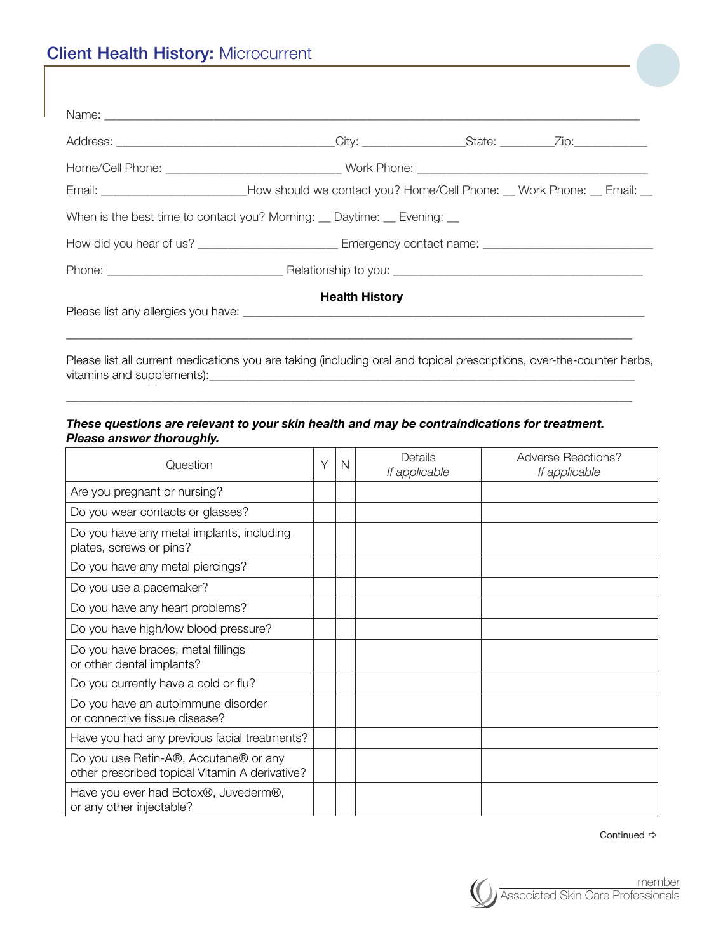|                                                                           | Email: ________________________________How should we contact you? Home/Cell Phone: __ Work Phone: __ Email: __ |  |  |  |  |  |  |  |  |
|---------------------------------------------------------------------------|----------------------------------------------------------------------------------------------------------------|--|--|--|--|--|--|--|--|
| When is the best time to contact you? Morning: __ Daytime: __ Evening: __ |                                                                                                                |  |  |  |  |  |  |  |  |
|                                                                           | How did you hear of us? _________________________________Emergency contact name: _____________________________ |  |  |  |  |  |  |  |  |
|                                                                           |                                                                                                                |  |  |  |  |  |  |  |  |
| <b>Health History</b>                                                     |                                                                                                                |  |  |  |  |  |  |  |  |

Please list all current medications you are taking (including oral and topical prescriptions, over-the-counter herbs, vitamins and supplements):\_\_\_\_\_\_\_\_\_\_\_\_\_\_\_\_\_\_\_\_\_\_\_\_\_\_\_\_\_\_\_\_\_\_\_\_\_\_\_\_\_\_\_\_\_\_\_\_\_\_\_\_\_\_\_\_\_\_\_\_\_\_\_\_\_\_\_\_\_\_

\_\_\_\_\_\_\_\_\_\_\_\_\_\_\_\_\_\_\_\_\_\_\_\_\_\_\_\_\_\_\_\_\_\_\_\_\_\_\_\_\_\_\_\_\_\_\_\_\_\_\_\_\_\_\_\_\_\_\_\_\_\_\_\_\_\_\_\_\_\_\_\_\_\_\_\_\_\_\_\_\_\_\_\_\_\_\_\_\_\_\_\_\_

\_\_\_\_\_\_\_\_\_\_\_\_\_\_\_\_\_\_\_\_\_\_\_\_\_\_\_\_\_\_\_\_\_\_\_\_\_\_\_\_\_\_\_\_\_\_\_\_\_\_\_\_\_\_\_\_\_\_\_\_\_\_\_\_\_\_\_\_\_\_\_\_\_\_\_\_\_\_\_\_\_\_\_\_\_\_\_\_\_\_\_\_\_

## *These questions are relevant to your skin health and may be contraindications for treatment. Please answer thoroughly.*

| Question                                                                                | Υ | N | Details<br>If applicable | Adverse Reactions?<br>If applicable |
|-----------------------------------------------------------------------------------------|---|---|--------------------------|-------------------------------------|
| Are you pregnant or nursing?                                                            |   |   |                          |                                     |
| Do you wear contacts or glasses?                                                        |   |   |                          |                                     |
| Do you have any metal implants, including<br>plates, screws or pins?                    |   |   |                          |                                     |
| Do you have any metal piercings?                                                        |   |   |                          |                                     |
| Do you use a pacemaker?                                                                 |   |   |                          |                                     |
| Do you have any heart problems?                                                         |   |   |                          |                                     |
| Do you have high/low blood pressure?                                                    |   |   |                          |                                     |
| Do you have braces, metal fillings<br>or other dental implants?                         |   |   |                          |                                     |
| Do you currently have a cold or flu?                                                    |   |   |                          |                                     |
| Do you have an autoimmune disorder<br>or connective tissue disease?                     |   |   |                          |                                     |
| Have you had any previous facial treatments?                                            |   |   |                          |                                     |
| Do you use Retin-A®, Accutane® or any<br>other prescribed topical Vitamin A derivative? |   |   |                          |                                     |
| Have you ever had Botox®, Juvederm®,<br>or any other injectable?                        |   |   |                          |                                     |

Continued  $\Rightarrow$